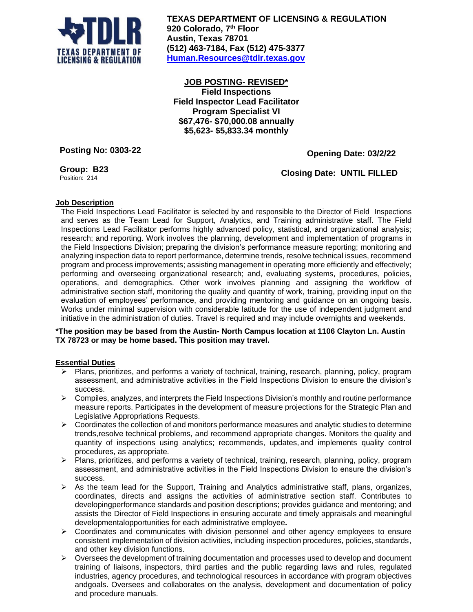

**TEXAS DEPARTMENT OF LICENSING & REGULATION 920 Colorado, 7 th Floor Austin, Texas 78701 (512) 463-7184, Fax (512) 475-3377 [Human.Resources@tdlr.texas.gov](mailto:Human.Resources@tdlr.texas.gov)**

**JOB POSTING- REVISED\* Field Inspections Field Inspector Lead Facilitator Program Specialist VI \$67,476- \$70,000.08 annually \$5,623- \$5,833.34 monthly**

**Posting No: 0303-22**

 **Opening Date: 03/2/22**

**Group: B23** Position: 214

 **Closing Date: UNTIL FILLED**

# **Job Description**

The Field Inspections Lead Facilitator is selected by and responsible to the Director of Field Inspections and serves as the Team Lead for Support, Analytics, and Training administrative staff. The Field Inspections Lead Facilitator performs highly advanced policy, statistical, and organizational analysis; research; and reporting. Work involves the planning, development and implementation of programs in the Field Inspections Division; preparing the division's performance measure reporting; monitoring and analyzing inspection data to report performance, determine trends, resolve technical issues, recommend program and process improvements; assisting management in operating more efficiently and effectively; performing and overseeing organizational research; and, evaluating systems, procedures, policies, operations, and demographics. Other work involves planning and assigning the workflow of administrative section staff, monitoring the quality and quantity of work, training, providing input on the evaluation of employees' performance, and providing mentoring and guidance on an ongoing basis. Works under minimal supervision with considerable latitude for the use of independent judgment and initiative in the administration of duties. Travel is required and may include overnights and weekends.

## **\*The position may be based from the Austin- North Campus location at 1106 Clayton Ln. Austin TX 78723 or may be home based. This position may travel.**

## **Essential Duties**

- ➢ Plans, prioritizes, and performs a variety of technical, training, research, planning, policy, program assessment, and administrative activities in the Field Inspections Division to ensure the division's success.
- $\triangleright$  Compiles, analyzes, and interprets the Field Inspections Division's monthly and routine performance measure reports. Participates in the development of measure projections for the Strategic Plan and Legislative Appropriations Requests.
- $\triangleright$  Coordinates the collection of and monitors performance measures and analytic studies to determine trends,resolve technical problems, and recommend appropriate changes. Monitors the quality and quantity of inspections using analytics; recommends, updates, and implements quality control procedures, as appropriate.
- ➢ Plans, prioritizes, and performs a variety of technical, training, research, planning, policy, program assessment, and administrative activities in the Field Inspections Division to ensure the division's success.
- $\triangleright$  As the team lead for the Support, Training and Analytics administrative staff, plans, organizes, coordinates, directs and assigns the activities of administrative section staff. Contributes to developingperformance standards and position descriptions; provides guidance and mentoring; and assists the Director of Field Inspections in ensuring accurate and timely appraisals and meaningful developmentalopportunities for each administrative employee**.**
- ➢ Coordinates and communicates with division personnel and other agency employees to ensure consistent implementation of division activities, including inspection procedures, policies, standards, and other key division functions.
- $\triangleright$  Oversees the development of training documentation and processes used to develop and document training of liaisons, inspectors, third parties and the public regarding laws and rules, regulated industries, agency procedures, and technological resources in accordance with program objectives andgoals. Oversees and collaborates on the analysis, development and documentation of policy and procedure manuals.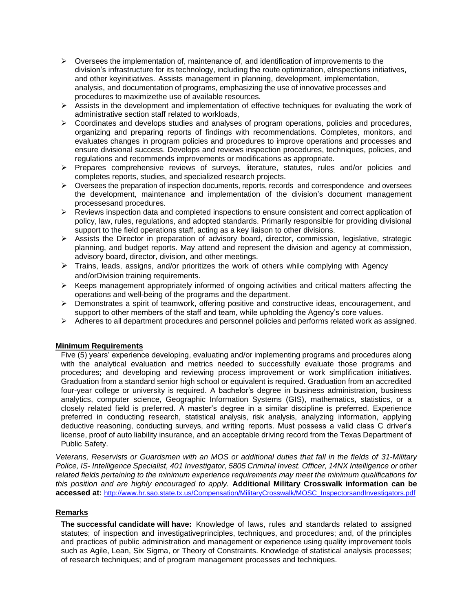- $\triangleright$  Oversees the implementation of, maintenance of, and identification of improvements to the division's infrastructure for its technology, including the route optimization, eInspections initiatives, and other keyinitiatives. Assists management in planning, development, implementation, analysis, and documentation of programs, emphasizing the use of innovative processes and procedures to maximizethe use of available resources.
- $\triangleright$  Assists in the development and implementation of effective techniques for evaluating the work of administrative section staff related to workloads,
- ➢ Coordinates and develops studies and analyses of program operations, policies and procedures, organizing and preparing reports of findings with recommendations. Completes, monitors, and evaluates changes in program policies and procedures to improve operations and processes and ensure divisional success. Develops and reviews inspection procedures, techniques, policies, and regulations and recommends improvements or modifications as appropriate.
- ➢ Prepares comprehensive reviews of surveys, literature, statutes, rules and/or policies and completes reports, studies, and specialized research projects.
- $\triangleright$  Oversees the preparation of inspection documents, reports, records and correspondence and oversees the development, maintenance and implementation of the division's document management processesand procedures.
- $\triangleright$  Reviews inspection data and completed inspections to ensure consistent and correct application of policy, law, rules, regulations, and adopted standards. Primarily responsible for providing divisional support to the field operations staff, acting as a key liaison to other divisions.
- ➢ Assists the Director in preparation of advisory board, director, commission, legislative, strategic planning, and budget reports. May attend and represent the division and agency at commission, advisory board, director, division, and other meetings.
- $\triangleright$  Trains, leads, assigns, and/or prioritizes the work of others while complying with Agency and/orDivision training requirements.
- $\triangleright$  Keeps management appropriately informed of ongoing activities and critical matters affecting the operations and well-being of the programs and the department.
- ➢ Demonstrates a spirit of teamwork, offering positive and constructive ideas, encouragement, and support to other members of the staff and team, while upholding the Agency's core values.
- $\triangleright$  Adheres to all department procedures and personnel policies and performs related work as assigned.

## **Minimum Requirements**

Five (5) years' experience developing, evaluating and/or implementing programs and procedures along with the analytical evaluation and metrics needed to successfully evaluate those programs and procedures; and developing and reviewing process improvement or work simplification initiatives. Graduation from a standard senior high school or equivalent is required. Graduation from an accredited four-year college or university is required. A bachelor's degree in business administration, business analytics, computer science, Geographic Information Systems (GIS), mathematics, statistics, or a closely related field is preferred. A master's degree in a similar discipline is preferred. Experience preferred in conducting research, statistical analysis, risk analysis, analyzing information, applying deductive reasoning, conducting surveys, and writing reports. Must possess a valid class C driver's license, proof of auto liability insurance, and an acceptable driving record from the Texas Department of Public Safety.

*Veterans, Reservists or Guardsmen with an MOS or additional duties that fall in the fields of 31-Military Police, IS- Intelligence Specialist, 401 Investigator, 5805 Criminal Invest. Officer, 14NX Intelligence or other related fields pertaining to the minimum experience requirements may meet the minimum qualifications for this position and are highly encouraged to apply.* **Additional Military Crosswalk information can be accessed at:** [http://www.hr.sao.state.tx.us/Compensation/MilitaryCrosswalk/MOSC\\_InspectorsandInvestigators.pdf](http://www.hr.sao.state.tx.us/Compensation/MilitaryCrosswalk/MOSC_InspectorsandInvestigators.pdf)

## **Remarks**

**The successful candidate will have:** Knowledge of laws, rules and standards related to assigned statutes; of inspection and investigativeprinciples, techniques, and procedures; and, of the principles and practices of public administration and management or experience using quality improvement tools such as Agile, Lean, Six Sigma, or Theory of Constraints. Knowledge of statistical analysis processes; of research techniques; and of program management processes and techniques.